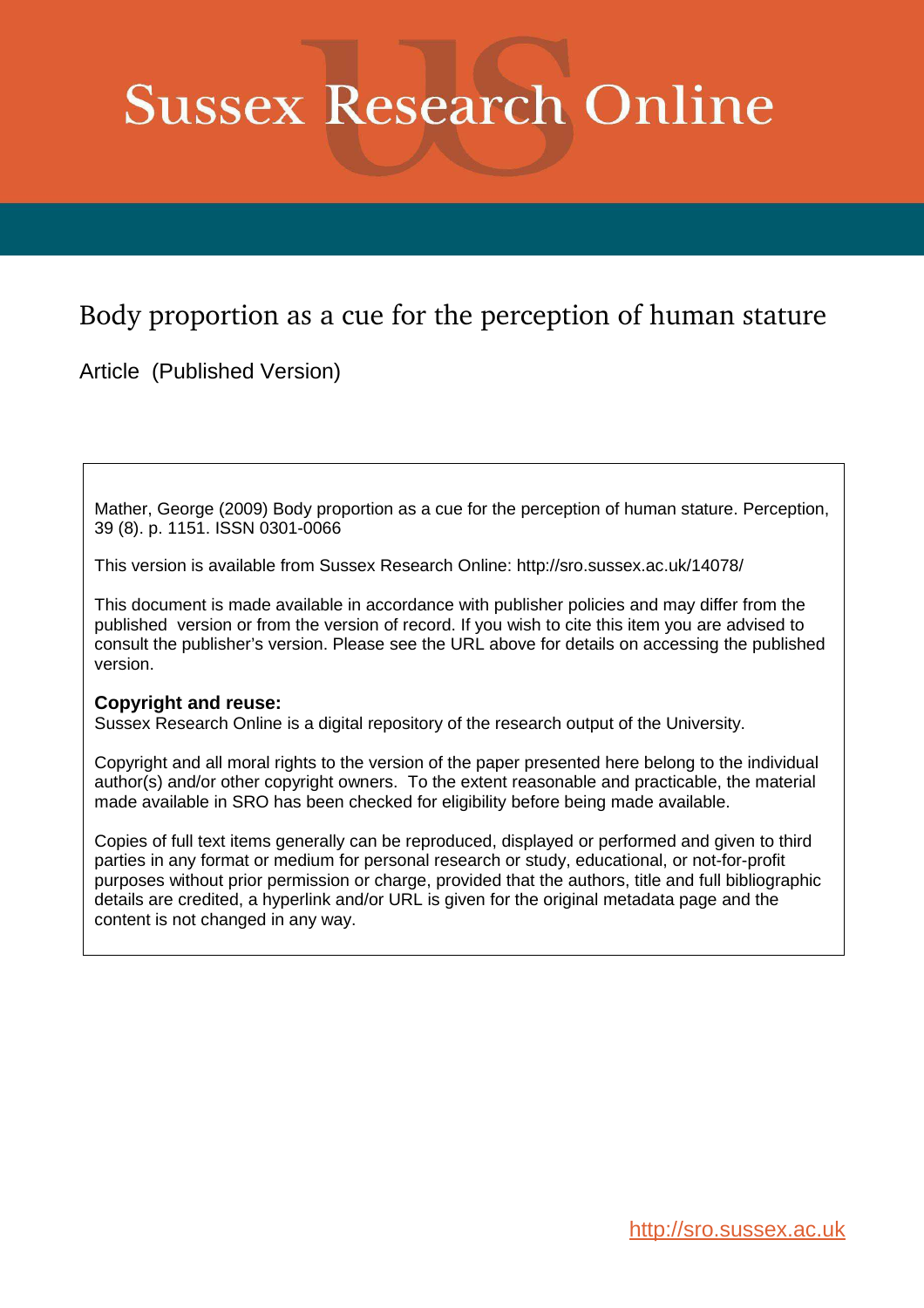# **Sussex Research Online**

# Body proportion as a cue for the perception of human stature

Article (Published Version)

Mather, George (2009) Body proportion as a cue for the perception of human stature. Perception, 39 (8). p. 1151. ISSN 0301-0066

This version is available from Sussex Research Online: http://sro.sussex.ac.uk/14078/

This document is made available in accordance with publisher policies and may differ from the published version or from the version of record. If you wish to cite this item you are advised to consult the publisher's version. Please see the URL above for details on accessing the published version.

## **Copyright and reuse:**

Sussex Research Online is a digital repository of the research output of the University.

Copyright and all moral rights to the version of the paper presented here belong to the individual author(s) and/or other copyright owners. To the extent reasonable and practicable, the material made available in SRO has been checked for eligibility before being made available.

Copies of full text items generally can be reproduced, displayed or performed and given to third parties in any format or medium for personal research or study, educational, or not-for-profit purposes without prior permission or charge, provided that the authors, title and full bibliographic details are credited, a hyperlink and/or URL is given for the original metadata page and the content is not changed in any way.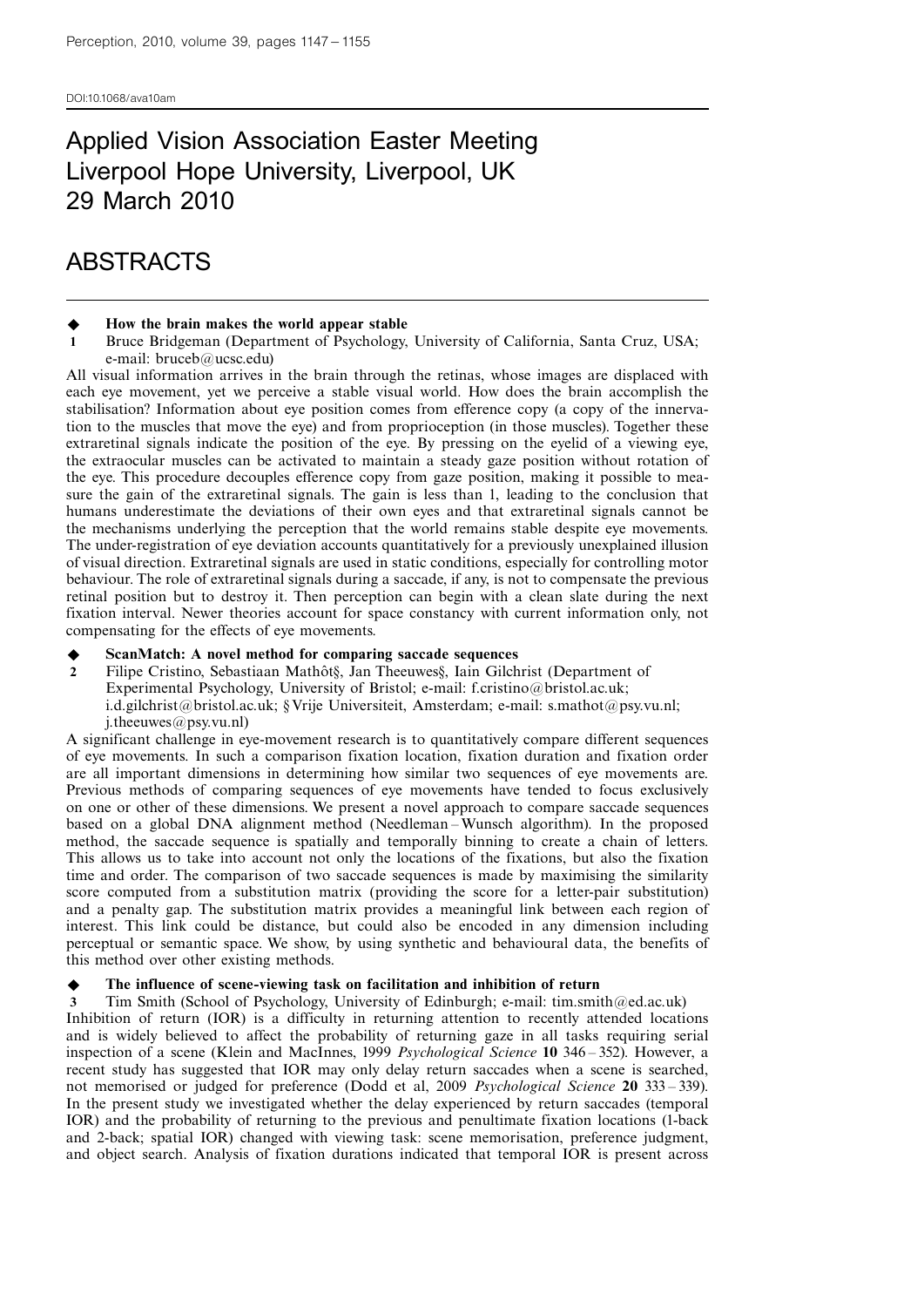## Applied Vision Association Easter Meeting Liverpool Hope University, Liverpool, UK 29 March 2010

## ABSTRACTS

#### ^ How the brain makes the world appear stable

1 Bruce Bridgeman (Department of Psychology, University of California, Santa Cruz, USA; e-mail: bruceb@ucsc.edu)

All visual information arrives in the brain through the retinas, whose images are displaced with each eye movement, yet we perceive a stable visual world. How does the brain accomplish the stabilisation? Information about eye position comes from efference copy (a copy of the innervation to the muscles that move the eye) and from proprioception (in those muscles). Together these extraretinal signals indicate the position of the eye. By pressing on the eyelid of a viewing eye, the extraocular muscles can be activated to maintain a steady gaze position without rotation of the eye. This procedure decouples efference copy from gaze position, making it possible to measure the gain of the extraretinal signals. The gain is less than 1, leading to the conclusion that humans underestimate the deviations of their own eyes and that extraretinal signals cannot be the mechanisms underlying the perception that the world remains stable despite eye movements. The under-registration of eye deviation accounts quantitatively for a previously unexplained illusion of visual direction. Extraretinal signals are used in static conditions, especially for controlling motor behaviour. The role of extraretinal signals during a saccade, if any, is not to compensate the previous retinal position but to destroy it. Then perception can begin with a clean slate during the next fixation interval. Newer theories account for space constancy with current information only, not compensating for the effects of eye movements.

#### ScanMatch: A novel method for comparing saccade sequences

 $\overline{2}$ Filipe Cristino, Sebastiaan Mathôt§, Jan Theeuwes§, Iain Gilchrist (Department of Experimental Psychology, University of Bristol; e-mail: f.cristino@bristol.ac.uk; i.d.gilchrist@bristol.ac.uk; § Vrije Universiteit, Amsterdam; e-mail: s.mathot@psy.vu.nl; j.theeuwes@psy.vu.nl)

A significant challenge in eye-movement research is to quantitatively compare different sequences of eye movements. In such a comparison fixation location, fixation duration and fixation order are all important dimensions in determining how similar two sequences of eye movements are. Previous methods of comparing sequences of eye movements have tended to focus exclusively on one or other of these dimensions. We present a novel approach to compare saccade sequences based on a global DNA alignment method (Needleman – Wunsch algorithm). In the proposed method, the saccade sequence is spatially and temporally binning to create a chain of letters. This allows us to take into account not only the locations of the fixations, but also the fixation time and order. The comparison of two saccade sequences is made by maximising the similarity score computed from a substitution matrix (providing the score for a letter-pair substitution) and a penalty gap. The substitution matrix provides a meaningful link between each region of interest. This link could be distance, but could also be encoded in any dimension including perceptual or semantic space. We show, by using synthetic and behavioural data, the benefits of this method over other existing methods.

#### The influence of scene-viewing task on facilitation and inhibition of return

3 Tim Smith (School of Psychology, University of Edinburgh; e-mail: tim.smith@ed.ac.uk) Inhibition of return (IOR) is a difficulty in returning attention to recently attended locations and is widely believed to affect the probability of returning gaze in all tasks requiring serial inspection of a scene (Klein and MacInnes, 1999 *Psychological Science* 10 346 - 352). However, a recent study has suggested that IOR may only delay return saccades when a scene is searched, not memorised or judged for preference (Dodd et al, 2009 *Psychological Science* 20 333 – 339). In the present study we investigated whether the delay experienced by return saccades (temporal IOR) and the probability of returning to the previous and penultimate fixation locations (1-back and 2-back; spatial IOR) changed with viewing task: scene memorisation, preference judgment, and object search. Analysis of fixation durations indicated that temporal IOR is present across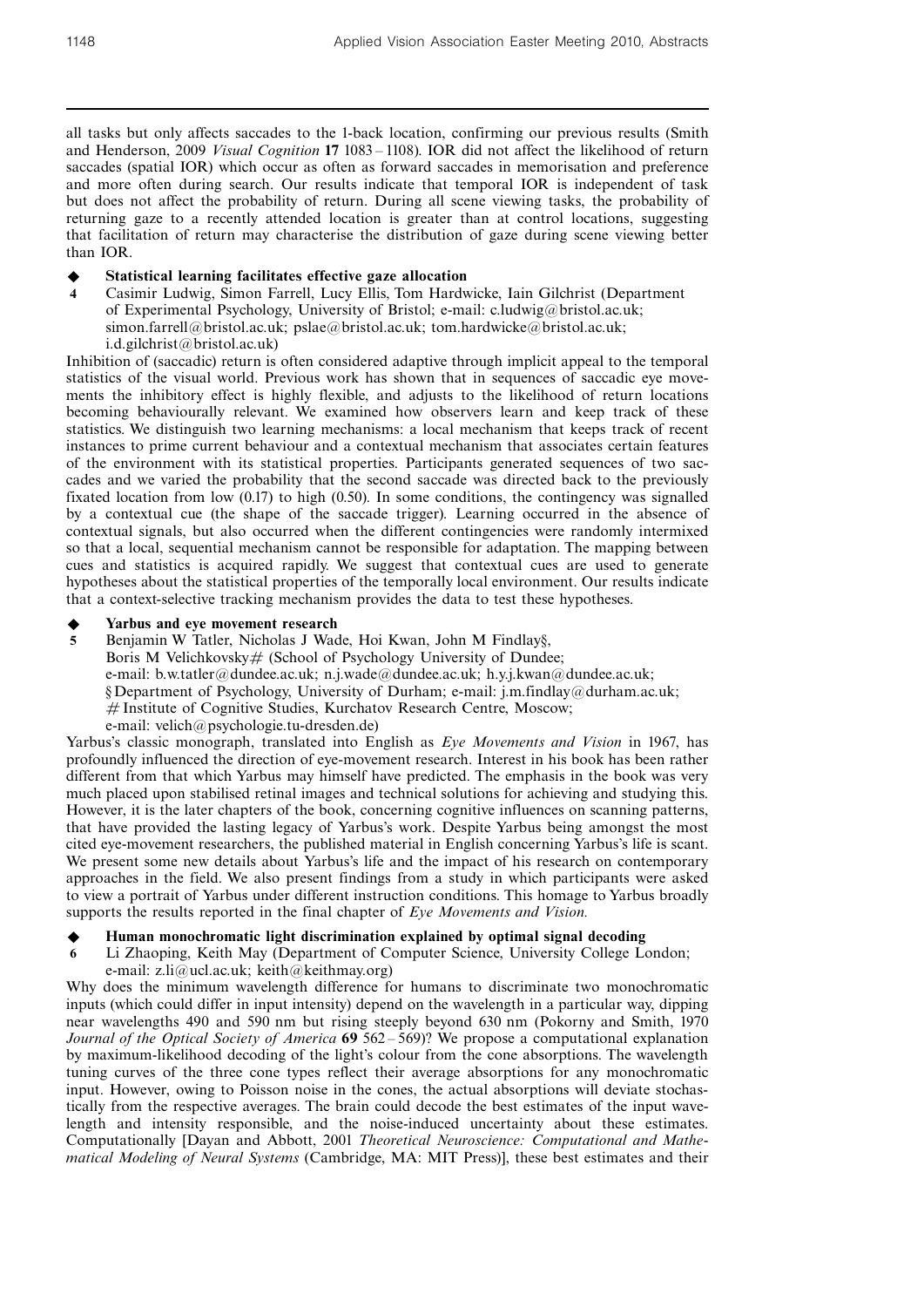all tasks but only affects saccades to the 1-back location, confirming our previous results (Smith and Henderson, 2009 Visual Cognition 17 1083 - 1108). IOR did not affect the likelihood of return saccades (spatial IOR) which occur as often as forward saccades in memorisation and preference and more often during search. Our results indicate that temporal IOR is independent of task but does not affect the probability of return. During all scene viewing tasks, the probability of returning gaze to a recently attended location is greater than at control locations, suggesting that facilitation of return may characterise the distribution of gaze during scene viewing better than IOR.

- Statistical learning facilitates effective gaze allocation
- 4 Casimir Ludwig, Simon Farrell, Lucy Ellis, Tom Hardwicke, Iain Gilchrist (Department of Experimental Psychology, University of Bristol; e-mail: c.ludwig@bristol.ac.uk; simon.farrell@bristol.ac.uk; pslae@bristol.ac.uk; tom.hardwicke@bristol.ac.uk; i.d.gilchrist@bristol.ac.uk)

Inhibition of (saccadic) return is often considered adaptive through implicit appeal to the temporal statistics of the visual world. Previous work has shown that in sequences of saccadic eye movements the inhibitory effect is highly flexible, and adjusts to the likelihood of return locations becoming behaviourally relevant. We examined how observers learn and keep track of these statistics. We distinguish two learning mechanisms: a local mechanism that keeps track of recent instances to prime current behaviour and a contextual mechanism that associates certain features of the environment with its statistical properties. Participants generated sequences of two saccades and we varied the probability that the second saccade was directed back to the previously fixated location from low (0.17) to high (0.50). In some conditions, the contingency was signalled by a contextual cue (the shape of the saccade trigger). Learning occurred in the absence of contextual signals, but also occurred when the different contingencies were randomly intermixed so that a local, sequential mechanism cannot be responsible for adaptation. The mapping between cues and statistics is acquired rapidly. We suggest that contextual cues are used to generate hypotheses about the statistical properties of the temporally local environment. Our results indicate that a context-selective tracking mechanism provides the data to test these hypotheses.

#### Yarbus and eve movement research

5 Benjamin W Tatler, Nicholas J Wade, Hoi Kwan, John M Findlay½, Boris M Velichkovsky# (School of Psychology University of Dundee; e-mail: b.w.tatler@dundee.ac.uk; n.j.wade@dundee.ac.uk; h.y.j.kwan@dundee.ac.uk; ½ Department of Psychology, University of Durham; e-mail: j.m.findlay@durham.ac.uk; # Institute of Cognitive Studies, Kurchatov Research Centre, Moscow; e-mail: velich@psychologie.tu-dresden.de)

Yarbus's classic monograph, translated into English as Eye Movements and Vision in 1967, has profoundly influenced the direction of eye-movement research. Interest in his book has been rather different from that which Yarbus may himself have predicted. The emphasis in the book was very much placed upon stabilised retinal images and technical solutions for achieving and studying this. However, it is the later chapters of the book, concerning cognitive influences on scanning patterns, that have provided the lasting legacy of Yarbus's work. Despite Yarbus being amongst the most cited eye-movement researchers, the published material in English concerning Yarbus's life is scant. We present some new details about Yarbus's life and the impact of his research on contemporary approaches in the field. We also present findings from a study in which participants were asked to view a portrait of Yarbus under different instruction conditions. This homage to Yarbus broadly supports the results reported in the final chapter of Eye Movements and Vision.

- Human monochromatic light discrimination explained by optimal signal decoding
- 6 Li Zhaoping, Keith May (Department of Computer Science, University College London; e-mail: z.li@ucl.ac.uk; keith@keithmay.org)

Why does the minimum wavelength difference for humans to discriminate two monochromatic inputs (which could differ in input intensity) depend on the wavelength in a particular way, dipping near wavelengths 490 and 590 nm but rising steeply beyond 630 nm (Pokorny and Smith, 1970 Journal of the Optical Society of America 69 562 – 569)? We propose a computational explanation by maximum-likelihood decoding of the light's colour from the cone absorptions. The wavelength tuning curves of the three cone types reflect their average absorptions for any monochromatic input. However, owing to Poisson noise in the cones, the actual absorptions will deviate stochastically from the respective averages. The brain could decode the best estimates of the input wavelength and intensity responsible, and the noise-induced uncertainty about these estimates. Computationally [Dayan and Abbott, 2001 Theoretical Neuroscience: Computational and Mathematical Modeling of Neural Systems (Cambridge, MA: MIT Press)], these best estimates and their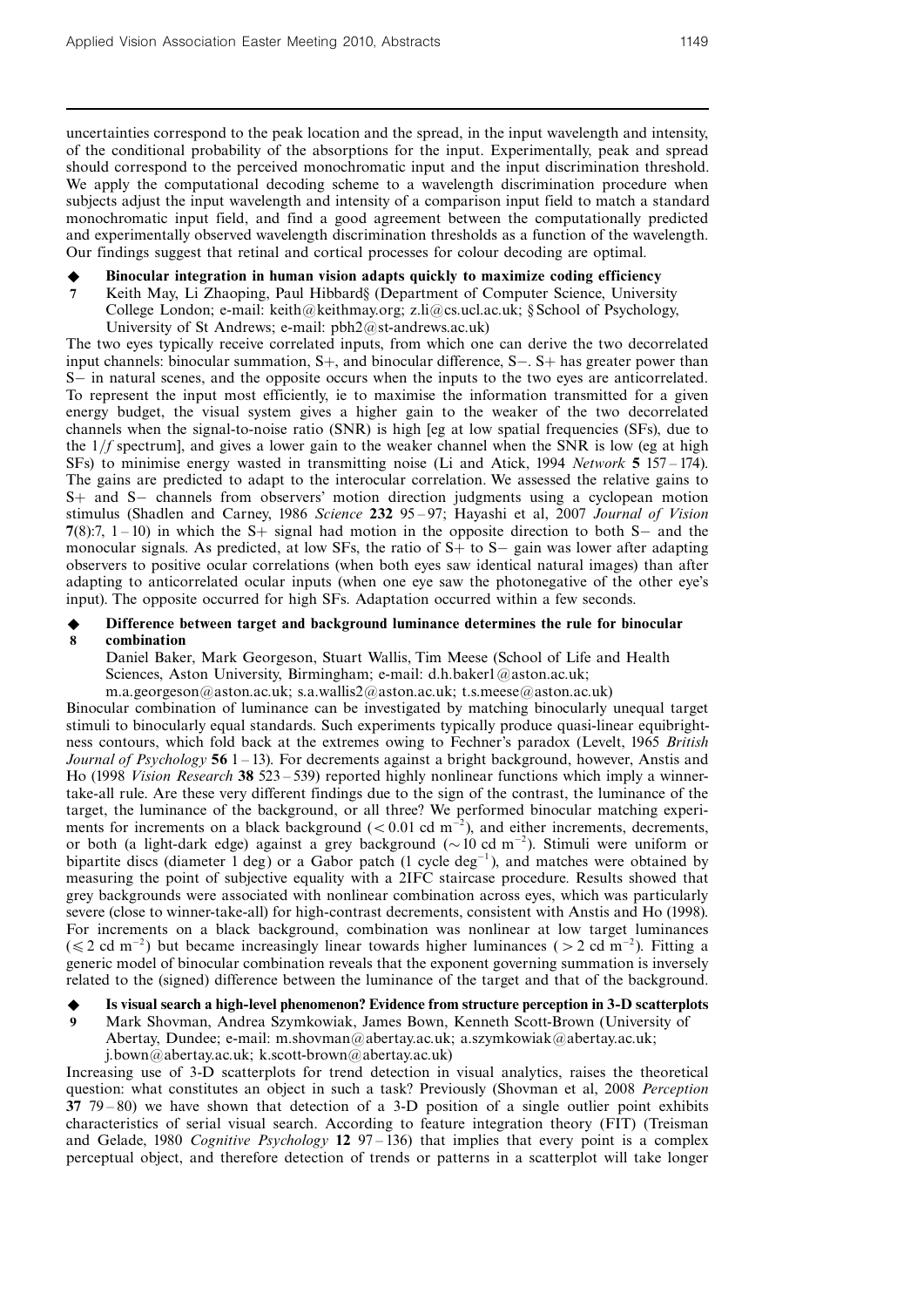uncertainties correspond to the peak location and the spread, in the input wavelength and intensity, of the conditional probability of the absorptions for the input. Experimentally, peak and spread should correspond to the perceived monochromatic input and the input discrimination threshold. We apply the computational decoding scheme to a wavelength discrimination procedure when subjects adjust the input wavelength and intensity of a comparison input field to match a standard monochromatic input field, and find a good agreement between the computationally predicted and experimentally observed wavelength discrimination thresholds as a function of the wavelength. Our findings suggest that retinal and cortical processes for colour decoding are optimal.

- ^ Binocular integration in human vision adapts quickly to maximize coding efficiency
- 7 Keith May, Li Zhaoping, Paul Hibbard§ (Department of Computer Science, University College London; e-mail: keith@keithmay.org; z.li@cs.ucl.ac.uk; ½ School of Psychology, University of St Andrews; e-mail: pbh2@st-andrews.ac.uk)

The two eyes typically receive correlated inputs, from which one can derive the two decorrelated input channels: binocular summation,  $S<sub>+</sub>$ , and binocular difference,  $S<sub>-</sub>$ .  $S<sub>+</sub>$  has greater power than S- in natural scenes, and the opposite occurs when the inputs to the two eyes are anticorrelated. To represent the input most efficiently, ie to maximise the information transmitted for a given energy budget, the visual system gives a higher gain to the weaker of the two decorrelated channels when the signal-to-noise ratio (SNR) is high [eg at low spatial frequencies (SFs), due to the  $1/f$  spectrum], and gives a lower gain to the weaker channel when the SNR is low (eg at high SFs) to minimise energy wasted in transmitting noise (Li and Atick, 1994 Network 5 157 – 174). The gains are predicted to adapt to the interocular correlation. We assessed the relative gains to  $S<sub>+</sub>$  and  $S<sub>-</sub>$  channels from observers' motion direction judgments using a cyclopean motion stimulus (Shadlen and Carney, 1986 Science 232 95 - 97; Hayashi et al, 2007 Journal of Vision 7(8):7, 1 – 10) in which the S + signal had motion in the opposite direction to both S – and the monocular signals. As predicted, at low SFs, the ratio of  $S$  + to  $S$  - gain was lower after adapting observers to positive ocular correlations (when both eyes saw identical natural images) than after adapting to anticorrelated ocular inputs (when one eye saw the photonegative of the other eye's input). The opposite occurred for high SFs. Adaptation occurred within a few seconds.

#### 8 ^ Difference between target and background luminance determines the rule for binocular combination

Daniel Baker, Mark Georgeson, Stuart Wallis, Tim Meese (School of Life and Health Sciences, Aston University, Birmingham; e-mail: d.h.baker1@aston.ac.uk;

m.a.georgeson@aston.ac.uk; s.a.wallis2@aston.ac.uk; t.s.meese@aston.ac.uk)

Binocular combination of luminance can be investigated by matching binocularly unequal target stimuli to binocularly equal standards. Such experiments typically produce quasi-linear equibrightness contours, which fold back at the extremes owing to Fechner's paradox (Levelt, 1965 British *Journal of Psychology* 56  $1 - 13$ . For decrements against a bright background, however, Anstis and Ho (1998 *Vision Research* 38 523 – 539) reported highly nonlinear functions which imply a winnertake-all rule. Are these very different findings due to the sign of the contrast, the luminance of the target, the luminance of the background, or all three? We performed binocular matching experiments for increments on a black background ( $< 0.01$  cd m<sup>-2</sup>), and either increments, decrements, or both (a light-dark edge) against a grey background ( $\sim$  10 cd m<sup>-2</sup>). Stimuli were uniform or bipartite discs (diameter  $1$  deg) or a Gabor patch (1 cycle deg<sup>-1</sup>), and matches were obtained by measuring the point of subjective equality with a 2IFC staircase procedure. Results showed that grey backgrounds were associated with nonlinear combination across eyes, which was particularly severe (close to winner-take-all) for high-contrast decrements, consistent with Anstis and Ho (1998). For increments on a black background, combination was nonlinear at low target luminances ( $\leq$  2 cd m<sup>-2</sup>) but became increasingly linear towards higher luminances ( $>$  2 cd m<sup>-2</sup>). Fitting a generic model of binocular combination reveals that the exponent governing summation is inversely related to the (signed) difference between the luminance of the target and that of the background.

- ^ Is visual search a high-level phenomenon? Evidence from structure perception in 3-D scatterplots
- $\mathbf{o}$ Mark Shovman, Andrea Szymkowiak, James Bown, Kenneth Scott-Brown (University of Abertay, Dundee; e-mail: m.shovman@abertay.ac.uk; a.szymkowiak@abertay.ac.uk; j.bown@abertay.ac.uk; k.scott-brown@abertay.ac.uk)

Increasing use of 3-D scatterplots for trend detection in visual analytics, raises the theoretical question: what constitutes an object in such a task? Previously (Shovman et al, 2008 Perception 37  $79 - 80$ ) we have shown that detection of a 3-D position of a single outlier point exhibits characteristics of serial visual search. According to feature integration theory (FIT) (Treisman and Gelade, 1980 Cognitive Psychology 12  $97 - 136$ ) that implies that every point is a complex perceptual object, and therefore detection of trends or patterns in a scatterplot will take longer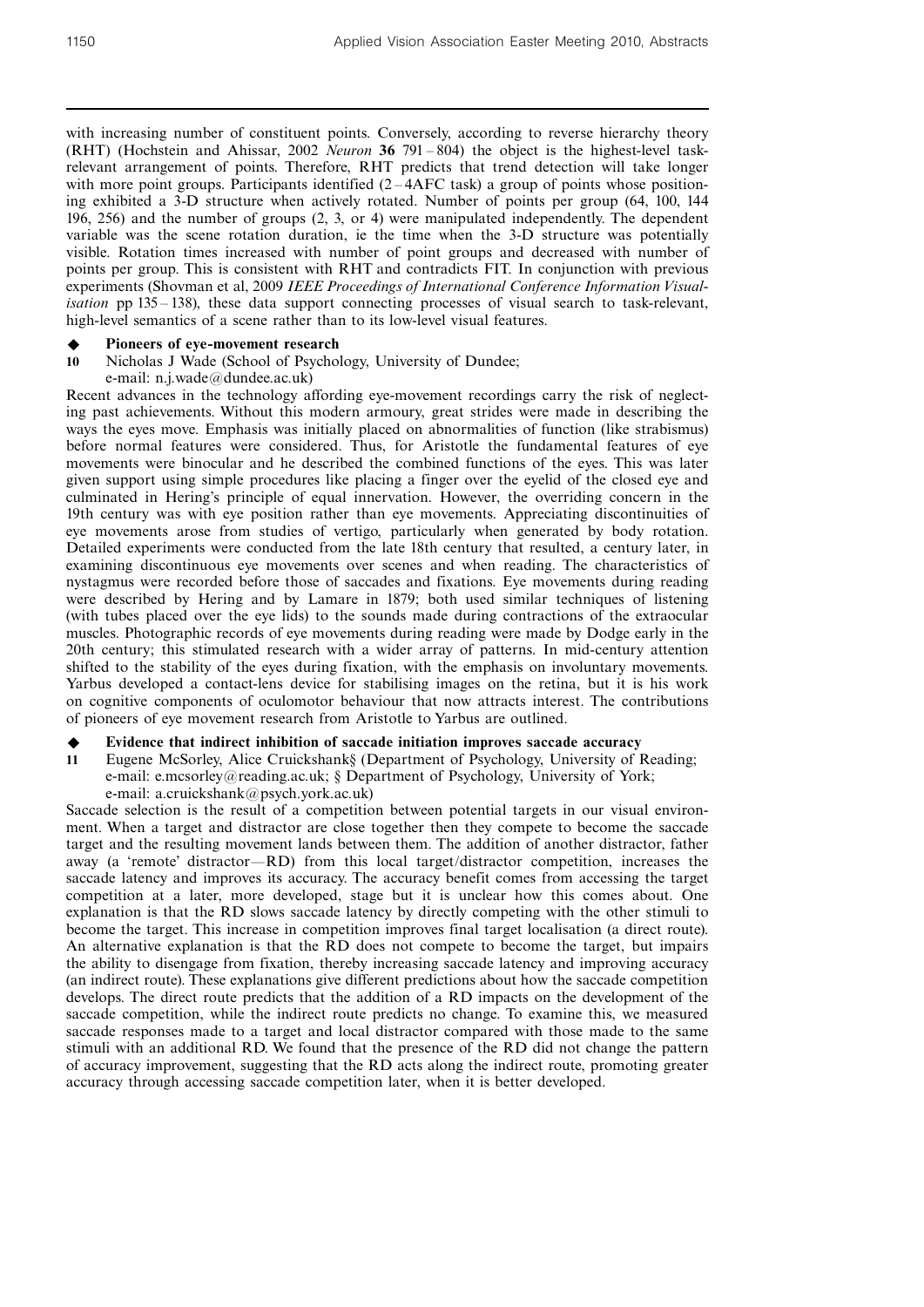with increasing number of constituent points. Conversely, according to reverse hierarchy theory (RHT) (Hochstein and Ahissar, 2002 Neuron 36 791 - 804) the object is the highest-level taskrelevant arrangement of points. Therefore, RHT predicts that trend detection will take longer with more point groups. Participants identified  $(2 - 4AFC task)$  a group of points whose positioning exhibited a 3-D structure when actively rotated. Number of points per group (64, 100, 144 196, 256) and the number of groups (2, 3, or 4) were manipulated independently. The dependent variable was the scene rotation duration, ie the time when the 3-D structure was potentially visible. Rotation times increased with number of point groups and decreased with number of points per group. This is consistent with RHT and contradicts FIT. In conjunction with previous experiments (Shovman et al, 2009 IEEE Proceedings of International Conference Information Visual*isation* pp  $135 - 138$ ), these data support connecting processes of visual search to task-relevant, high-level semantics of a scene rather than to its low-level visual features.

#### Pioneers of eye-movement research

10 Nicholas J Wade (School of Psychology, University of Dundee;

e-mail: n.j.wade@dundee.ac.uk)

Recent advances in the technology affording eye-movement recordings carry the risk of neglecting past achievements. Without this modern armoury, great strides were made in describing the ways the eyes move. Emphasis was initially placed on abnormalities of function (like strabismus) before normal features were considered. Thus, for Aristotle the fundamental features of eye movements were binocular and he described the combined functions of the eyes. This was later given support using simple procedures like placing a finger over the eyelid of the closed eye and culminated in Hering's principle of equal innervation. However, the overriding concern in the 19th century was with eye position rather than eye movements. Appreciating discontinuities of eye movements arose from studies of vertigo, particularly when generated by body rotation. Detailed experiments were conducted from the late 18th century that resulted, a century later, in examining discontinuous eye movements over scenes and when reading. The characteristics of nystagmus were recorded before those of saccades and fixations. Eye movements during reading were described by Hering and by Lamare in 1879; both used similar techniques of listening (with tubes placed over the eye lids) to the sounds made during contractions of the extraocular muscles. Photographic records of eye movements during reading were made by Dodge early in the 20th century; this stimulated research with a wider array of patterns. In mid-century attention shifted to the stability of the eyes during fixation, with the emphasis on involuntary movements. Yarbus developed a contact-lens device for stabilising images on the retina, but it is his work on cognitive components of oculomotor behaviour that now attracts interest. The contributions of pioneers of eye movement research from Aristotle to Yarbus are outlined.

## ^ Evidence that indirect inhibition of saccade initiation improves saccade accuracy

11 Eugene McSorley, Alice Cruickshank§ (Department of Psychology, University of Reading; e-mail: e.mcsorley@reading.ac.uk; § Department of Psychology, University of York; e-mail: a.cruickshank@psych.york.ac.uk)

Saccade selection is the result of a competition between potential targets in our visual environment. When a target and distractor are close together then they compete to become the saccade target and the resulting movement lands between them. The addition of another distractor, father away (a 'remote' distractor-RD) from this local target/distractor competition, increases the saccade latency and improves its accuracy. The accuracy benefit comes from accessing the target competition at a later, more developed, stage but it is unclear how this comes about. One explanation is that the RD slows saccade latency by directly competing with the other stimuli to become the target. This increase in competition improves final target localisation (a direct route). An alternative explanation is that the RD does not compete to become the target, but impairs the ability to disengage from fixation, thereby increasing saccade latency and improving accuracy (an indirect route). These explanations give different predictions about how the saccade competition develops. The direct route predicts that the addition of a RD impacts on the development of the saccade competition, while the indirect route predicts no change. To examine this, we measured saccade responses made to a target and local distractor compared with those made to the same stimuli with an additional RD. We found that the presence of the RD did not change the pattern of accuracy improvement, suggesting that the RD acts along the indirect route, promoting greater accuracy through accessing saccade competition later, when it is better developed.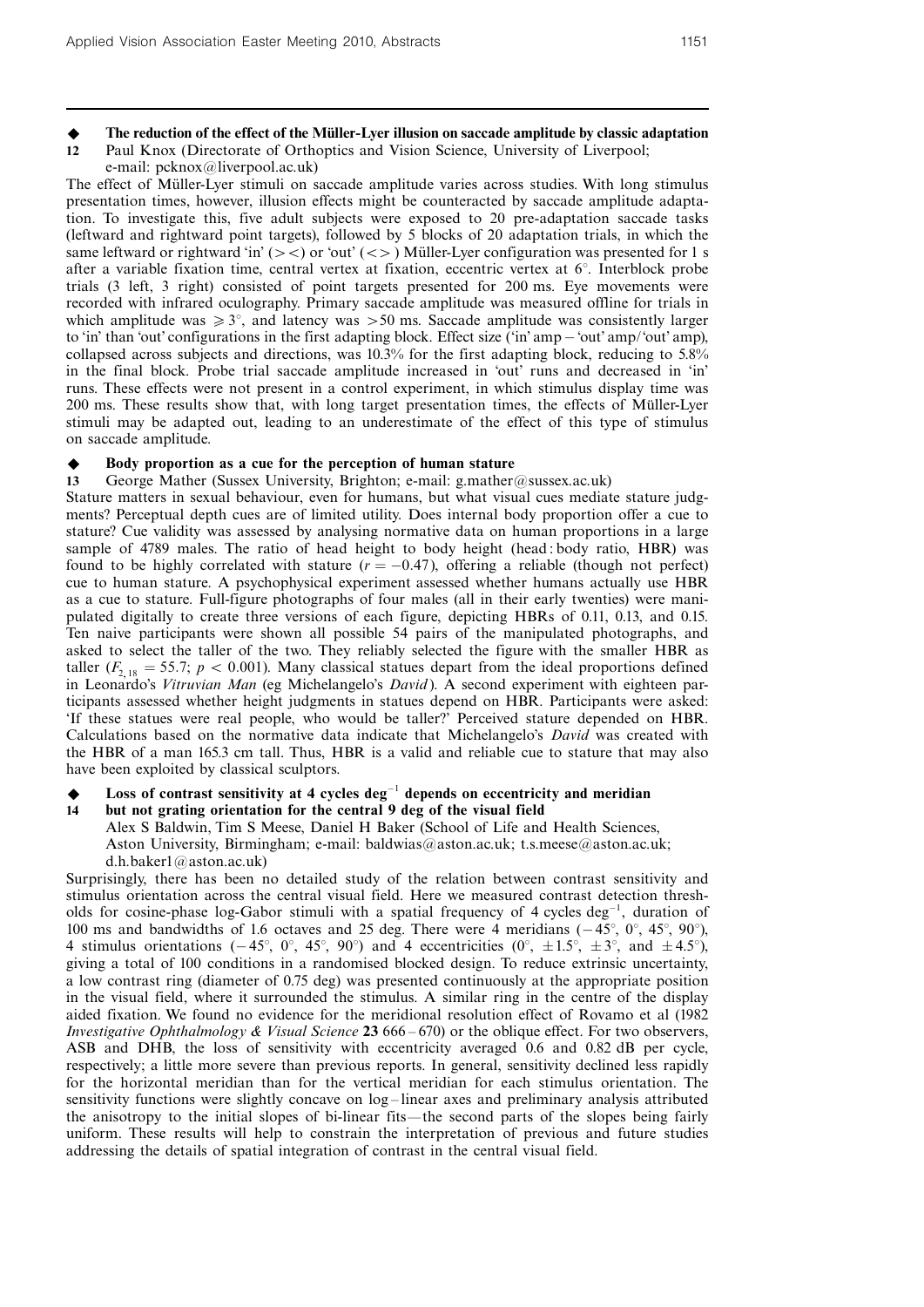- 
- The reduction of the effect of the Müller-Lyer illusion on saccade amplitude by classic adaptation
- 12 Paul Knox (Directorate of Orthoptics and Vision Science, University of Liverpool; e-mail: pcknox@liverpool.ac.uk)

The effect of Müller-Lyer stimuli on saccade amplitude varies across studies. With long stimulus presentation times, however, illusion effects might be counteracted by saccade amplitude adaptation. To investigate this, five adult subjects were exposed to 20 pre-adaptation saccade tasks (leftward and rightward point targets), followed by 5 blocks of 20 adaptation trials, in which the same leftward or rightward 'in'  $(0, 0)$  or 'out'  $(0, 0)$  Müller-Lyer configuration was presented for 1 s after a variable fixation time, central vertex at fixation, eccentric vertex at  $6^\circ$ . Interblock probe trials (3 left, 3 right) consisted of point targets presented for 200 ms. Eye movements were recorded with infrared oculography. Primary saccade amplitude was measured offline for trials in which amplitude was  $\geq 3^{\circ}$ , and latency was  $> 50$  ms. Saccade amplitude was consistently larger to 'in' than 'out' configurations in the first adapting block. Effect size ('in' amp  $-$  'out' amp/'out' amp), collapsed across subjects and directions, was 10.3% for the first adapting block, reducing to 5.8% in the final block. Probe trial saccade amplitude increased in 'out' runs and decreased in 'in' runs. These effects were not present in a control experiment, in which stimulus display time was 200 ms. These results show that, with long target presentation times, the effects of Müller-Lyer stimuli may be adapted out, leading to an underestimate of the effect of this type of stimulus on saccade amplitude.

#### Body proportion as a cue for the perception of human stature

13 George Mather (Sussex University, Brighton; e-mail: g.mather@sussex.ac.uk)

Stature matters in sexual behaviour, even for humans, but what visual cues mediate stature judgments? Perceptual depth cues are of limited utility. Does internal body proportion offer a cue to stature? Cue validity was assessed by analysing normative data on human proportions in a large sample of 4789 males. The ratio of head height to body height (head : body ratio, HBR) was found to be highly correlated with stature  $(r = -0.47)$ , offering a reliable (though not perfect) cue to human stature. A psychophysical experiment assessed whether humans actually use HBR as a cue to stature. Full-figure photographs of four males (all in their early twenties) were manipulated digitally to create three versions of each figure, depicting HBRs of 0.11, 0.13, and 0.15. Ten naive participants were shown all possible 54 pairs of the manipulated photographs, and asked to select the taller of the two. They reliably selected the figure with the smaller HBR as taller  $(F_{2,18} = 55.7; p < 0.001)$ . Many classical statues depart from the ideal proportions defined in Leonardo's Vitruvian Man (eg Michelangelo's David). A second experiment with eighteen participants assessed whether height judgments in statues depend on HBR. Participants were asked: `If these statues were real people, who would be taller?' Perceived stature depended on HBR. Calculations based on the normative data indicate that Michelangelo's *David* was created with the HBR of a man 165.3 cm tall. Thus, HBR is a valid and reliable cue to stature that may also have been exploited by classical sculptors.

- $\blacklozenge$  Loss of contrast sensitivity at 4 cycles deg<sup>-1</sup> depends on eccentricity and meridian
- 14 but not grating orientation for the central 9 deg of the visual field Alex S Baldwin, Tim S Meese, Daniel H Baker (School of Life and Health Sciences, Aston University, Birmingham; e-mail: baldwias@aston.ac.uk; t.s.meese@aston.ac.uk; d.h.baker1@aston.ac.uk)

Surprisingly, there has been no detailed study of the relation between contrast sensitivity and stimulus orientation across the central visual field. Here we measured contrast detection thresholds for cosine-phase log-Gabor stimuli with a spatial frequency of 4 cycles deg<sup>-1</sup>, duration of 100 ms and bandwidths of 1.6 octaves and 25 deg. There were 4 meridians  $(-45^\circ, 0^\circ, 45^\circ, 90^\circ)$ , 4 stimulus orientations ( $-45^\circ$ , 0°, 45°, 90°) and 4 eccentricities (0°,  $\pm 1.5^\circ$ ,  $\pm 3^\circ$ , and  $\pm 4.5^\circ$ ), giving a total of 100 conditions in a randomised blocked design. To reduce extrinsic uncertainty, a low contrast ring (diameter of 0.75 deg) was presented continuously at the appropriate position in the visual field, where it surrounded the stimulus. A similar ring in the centre of the display aided fixation. We found no evidence for the meridional resolution effect of Rovamo et al (1982 *Investigative Ophthalmology & Visual Science* 23 666  $- 670$ ) or the oblique effect. For two observers, ASB and DHB, the loss of sensitivity with eccentricity averaged 0.6 and 0.82 dB per cycle, respectively; a little more severe than previous reports. In general, sensitivity declined less rapidly for the horizontal meridian than for the vertical meridian for each stimulus orientation. The sensitivity functions were slightly concave on  $log$  -linear axes and preliminary analysis attributed the anisotropy to the initial slopes of bi-linear fits—the second parts of the slopes being fairly uniform. These results will help to constrain the interpretation of previous and future studies addressing the details of spatial integration of contrast in the central visual field.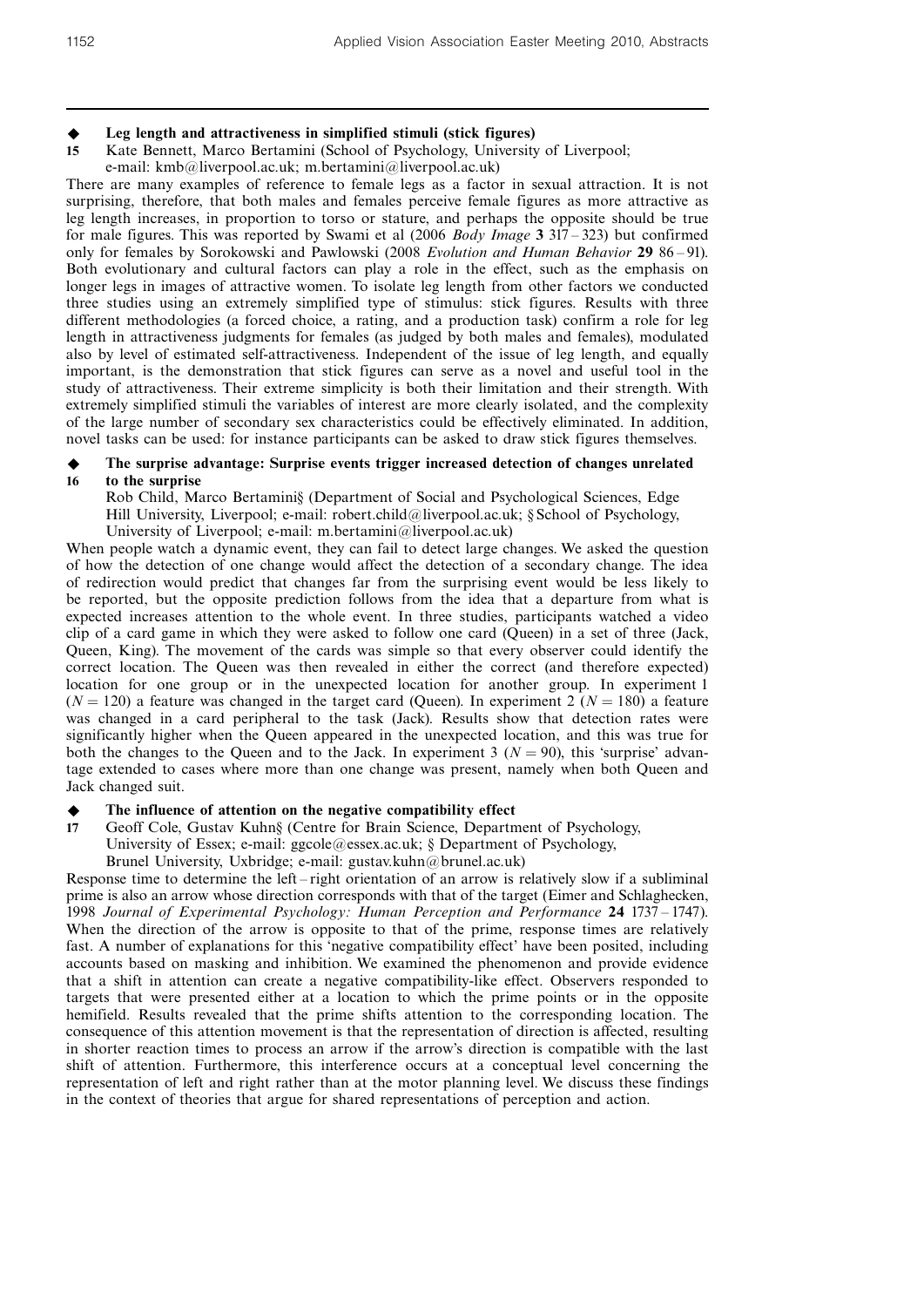#### Leg length and attractiveness in simplified stimuli (stick figures)

15 Kate Bennett, Marco Bertamini (School of Psychology, University of Liverpool; e-mail: kmb@liverpool.ac.uk; m.bertamini@liverpool.ac.uk)

There are many examples of reference to female legs as a factor in sexual attraction. It is not surprising, therefore, that both males and females perceive female figures as more attractive as leg length increases, in proportion to torso or stature, and perhaps the opposite should be true for male figures. This was reported by Swami et al  $(2006$  Body Image 3 317 – 323) but confirmed only for females by Sorokowski and Pawlowski (2008 Evolution and Human Behavior 29 86-91). Both evolutionary and cultural factors can play a role in the effect, such as the emphasis on longer legs in images of attractive women. To isolate leg length from other factors we conducted three studies using an extremely simplified type of stimulus: stick figures. Results with three different methodologies (a forced choice, a rating, and a production task) confirm a role for leg length in attractiveness judgments for females (as judged by both males and females), modulated also by level of estimated self-attractiveness. Independent of the issue of leg length, and equally important, is the demonstration that stick figures can serve as a novel and useful tool in the study of attractiveness. Their extreme simplicity is both their limitation and their strength. With extremely simplified stimuli the variables of interest are more clearly isolated, and the complexity of the large number of secondary sex characteristics could be effectively eliminated. In addition, novel tasks can be used: for instance participants can be asked to draw stick figures themselves.

#### 16 ^ The surprise advantage: Surprise events trigger increased detection of changes unrelated to the surprise

Rob Child, Marco Bertamini§ (Department of Social and Psychological Sciences, Edge Hill University, Liverpool; e-mail: robert.child@liverpool.ac.uk; § School of Psychology, University of Liverpool; e-mail: m.bertamini@liverpool.ac.uk)

When people watch a dynamic event, they can fail to detect large changes. We asked the question of how the detection of one change would affect the detection of a secondary change. The idea of redirection would predict that changes far from the surprising event would be less likely to be reported, but the opposite prediction follows from the idea that a departure from what is expected increases attention to the whole event. In three studies, participants watched a video clip of a card game in which they were asked to follow one card (Queen) in a set of three (Jack, Queen, King). The movement of the cards was simple so that every observer could identify the correct location. The Queen was then revealed in either the correct (and therefore expected) location for one group or in the unexpected location for another group. In experiment 1  $(N = 120)$  a feature was changed in the target card (Queen). In experiment 2 ( $N = 180$ ) a feature was changed in a card peripheral to the task (Jack). Results show that detection rates were significantly higher when the Queen appeared in the unexpected location, and this was true for both the changes to the Queen and to the Jack. In experiment 3 ( $N = 90$ ), this 'surprise' advantage extended to cases where more than one change was present, namely when both Queen and Jack changed suit.

#### The influence of attention on the negative compatibility effect

17 Geoff Cole, Gustav Kuhn§ (Centre for Brain Science, Department of Psychology, University of Essex; e-mail: ggcole@essex.ac.uk; § Department of Psychology,

Brunel University, Uxbridge; e-mail: gustav.kuhn@brunel.ac.uk)

Response time to determine the left $-$ right orientation of an arrow is relatively slow if a subliminal prime is also an arrow whose direction corresponds with that of the target (Eimer and Schlaghecken, 1998 Journal of Experimental Psychology: Human Perception and Performance 24 1737 - 1747). When the direction of the arrow is opposite to that of the prime, response times are relatively fast. A number of explanations for this 'negative compatibility effect' have been posited, including accounts based on masking and inhibition. We examined the phenomenon and provide evidence that a shift in attention can create a negative compatibility-like effect. Observers responded to targets that were presented either at a location to which the prime points or in the opposite hemifield. Results revealed that the prime shifts attention to the corresponding location. The consequence of this attention movement is that the representation of direction is affected, resulting in shorter reaction times to process an arrow if the arrow's direction is compatible with the last shift of attention. Furthermore, this interference occurs at a conceptual level concerning the representation of left and right rather than at the motor planning level. We discuss these findings in the context of theories that argue for shared representations of perception and action.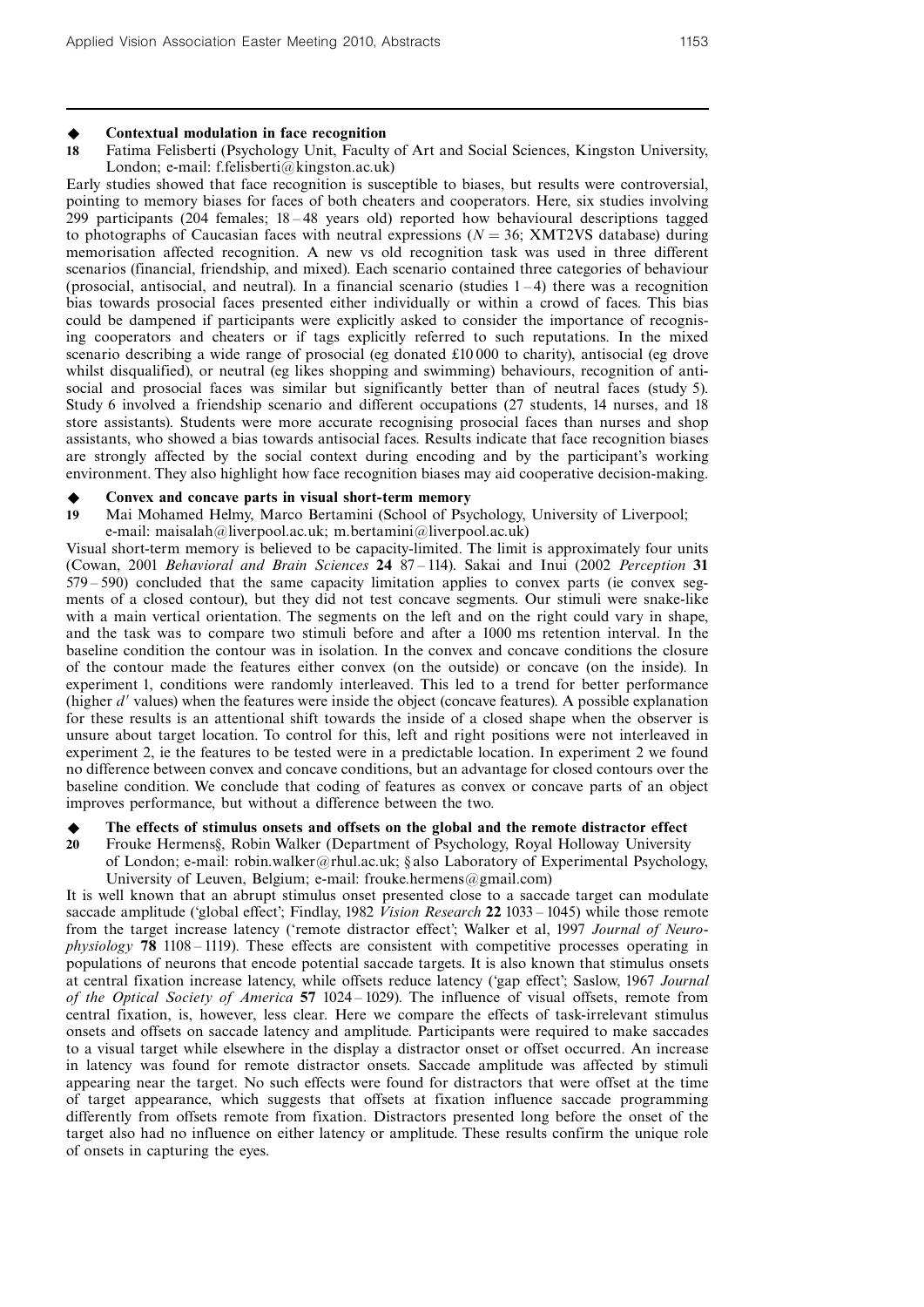#### ^ Contextual modulation in face recognition

18 Fatima Felisberti (Psychology Unit, Faculty of Art and Social Sciences, Kingston University, London; e-mail: f.felisberti@kingston.ac.uk)

Early studies showed that face recognition is susceptible to biases, but results were controversial, pointing to memory biases for faces of both cheaters and cooperators. Here, six studies involving 299 participants (204 females;  $18 - 48$  years old) reported how behavioural descriptions tagged to photographs of Caucasian faces with neutral expressions ( $N = 36$ ; XMT2VS database) during memorisation affected recognition. A new vs old recognition task was used in three different scenarios (financial, friendship, and mixed). Each scenario contained three categories of behaviour (prosocial, antisocial, and neutral). In a financial scenario (studies  $1 - 4$ ) there was a recognition bias towards prosocial faces presented either individually or within a crowd of faces. This bias could be dampened if participants were explicitly asked to consider the importance of recognising cooperators and cheaters or if tags explicitly referred to such reputations. In the mixed scenario describing a wide range of prosocial (eg donated  $\pounds10\,000$  to charity), antisocial (eg drove whilst disqualified), or neutral (eg likes shopping and swimming) behaviours, recognition of antisocial and prosocial faces was similar but significantly better than of neutral faces (study 5). Study 6 involved a friendship scenario and different occupations (27 students, 14 nurses, and 18 store assistants). Students were more accurate recognising prosocial faces than nurses and shop assistants, who showed a bias towards antisocial faces. Results indicate that face recognition biases are strongly affected by the social context during encoding and by the participant's working environment. They also highlight how face recognition biases may aid cooperative decision-making.

#### Convex and concave parts in visual short-term memory

19 Mai Mohamed Helmy, Marco Bertamini (School of Psychology, University of Liverpool; e-mail: maisalah@liverpool.ac.uk; m.bertamini@liverpool.ac.uk)

Visual short-term memory is believed to be capacity-limited. The limit is approximately four units (Cowan, 2001 Behavioral and Brain Sciences 24 87 – 114). Sakai and Inui (2002 Perception 31  $579 - 590$ ) concluded that the same capacity limitation applies to convex parts (ie convex segments of a closed contour), but they did not test concave segments. Our stimuli were snake-like with a main vertical orientation. The segments on the left and on the right could vary in shape, and the task was to compare two stimuli before and after a 1000 ms retention interval. In the baseline condition the contour was in isolation. In the convex and concave conditions the closure of the contour made the features either convex (on the outside) or concave (on the inside). In experiment 1, conditions were randomly interleaved. This led to a trend for better performance (higher d' values) when the features were inside the object (concave features). A possible explanation for these results is an attentional shift towards the inside of a closed shape when the observer is unsure about target location. To control for this, left and right positions were not interleaved in experiment 2, ie the features to be tested were in a predictable location. In experiment 2 we found no difference between convex and concave conditions, but an advantage for closed contours over the baseline condition. We conclude that coding of features as convex or concave parts of an object improves performance, but without a difference between the two.

#### The effects of stimulus onsets and offsets on the global and the remote distractor effect

20 Frouke Hermens½, Robin Walker (Department of Psychology, Royal Holloway University of London; e-mail: robin.walker@rhul.ac.uk; ½ also Laboratory of Experimental Psychology, University of Leuven, Belgium; e-mail: frouke.hermens@gmail.com)

It is well known that an abrupt stimulus onset presented close to a saccade target can modulate saccade amplitude ('global effect'; Findlay, 1982 Vision Research 22 1033 - 1045) while those remote from the target increase latency ('remote distractor effect'; Walker et al, 1997 Journal of Neuro*physiology* **78** 1108  $-$  1119). These effects are consistent with competitive processes operating in populations of neurons that encode potential saccade targets. It is also known that stimulus onsets at central fixation increase latency, while offsets reduce latency (`gap effect'; Saslow, 1967 Journal of the Optical Society of America  $57 \frac{1024 - 1029}{1024}$ . The influence of visual offsets, remote from central fixation, is, however, less clear. Here we compare the effects of task-irrelevant stimulus onsets and offsets on saccade latency and amplitude. Participants were required to make saccades to a visual target while elsewhere in the display a distractor onset or offset occurred. An increase in latency was found for remote distractor onsets. Saccade amplitude was affected by stimuli appearing near the target. No such effects were found for distractors that were offset at the time of target appearance, which suggests that offsets at fixation influence saccade programming differently from offsets remote from fixation. Distractors presented long before the onset of the target also had no influence on either latency or amplitude. These results confirm the unique role of onsets in capturing the eyes.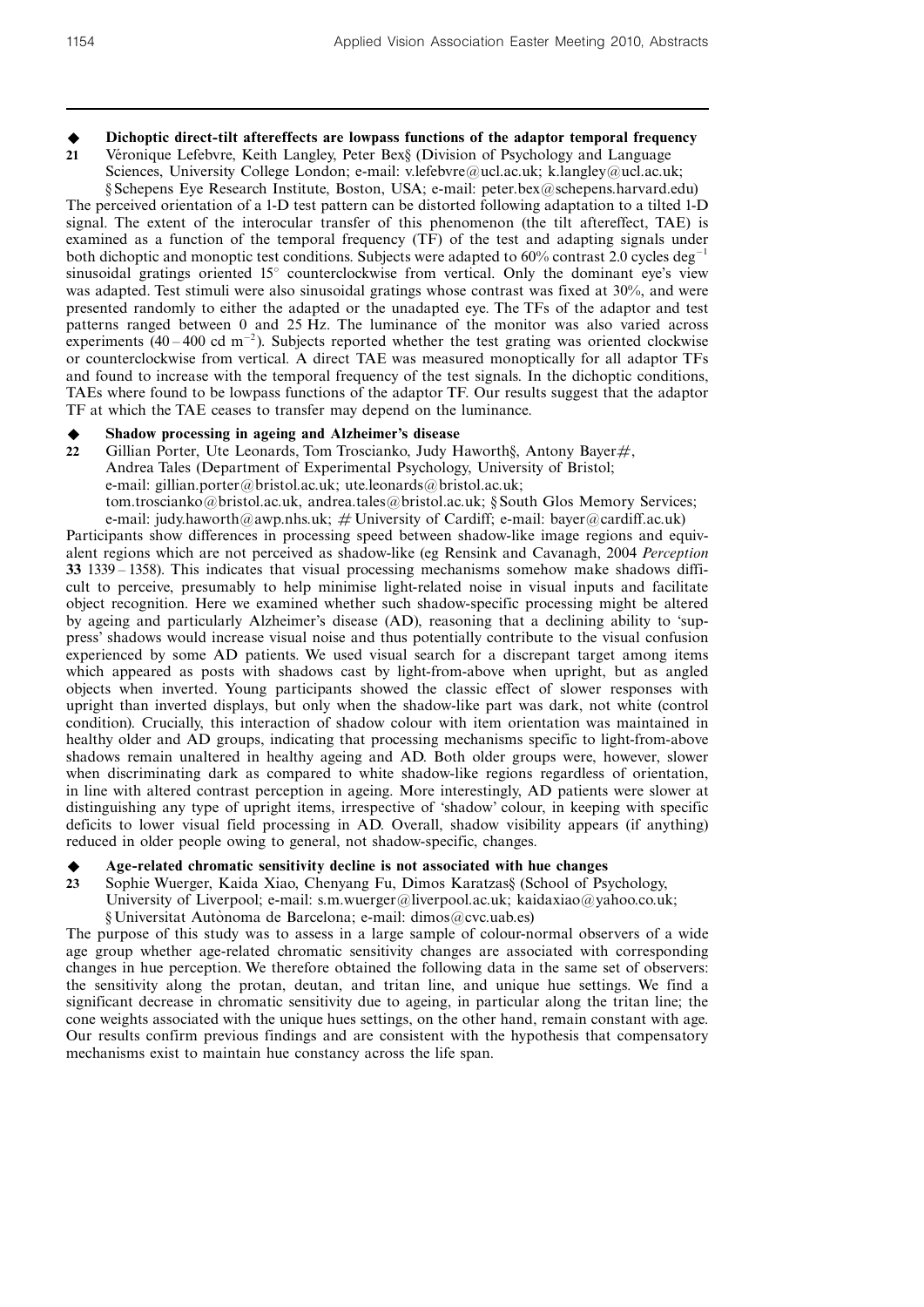#### Dichoptic direct-tilt aftereffects are lowpass functions of the adaptor temporal frequency

21 Véronique Lefebvre, Keith Langley, Peter Bex§ (Division of Psychology and Language Sciences, University College London; e-mail: v.lefebvre@ucl.ac.uk; k.langley@ucl.ac.uk; ½ Schepens Eye Research Institute, Boston, USA; e-mail: peter.bex@schepens.harvard.edu)

The perceived orientation of a 1-D test pattern can be distorted following adaptation to a tilted 1-D signal. The extent of the interocular transfer of this phenomenon (the tilt aftereffect, TAE) is examined as a function of the temporal frequency (TF) of the test and adapting signals under both dichoptic and monoptic test conditions. Subjects were adapted to  $60\%$  contrast 2.0 cycles deg<sup>-</sup> sinusoidal gratings oriented  $15^{\circ}$  counterclockwise from vertical. Only the dominant eye's view was adapted. Test stimuli were also sinusoidal gratings whose contrast was fixed at 30%, and were presented randomly to either the adapted or the unadapted eye. The TFs of the adaptor and test patterns ranged between 0 and 25 Hz. The luminance of the monitor was also varied across experiments  $(40 - 400 \text{ cd m}^{-2})$ . Subjects reported whether the test grating was oriented clockwise or counterclockwise from vertical. A direct TAE was measured monoptically for all adaptor TFs and found to increase with the temporal frequency of the test signals. In the dichoptic conditions, TAEs where found to be lowpass functions of the adaptor TF. Our results suggest that the adaptor TF at which the TAE ceases to transfer may depend on the luminance.

Shadow processing in ageing and Alzheimer's disease

22 Gillian Porter, Ute Leonards, Tom Troscianko, Judy Haworth§, Antony Bayer#, Andrea Tales (Department of Experimental Psychology, University of Bristol; e-mail: gillian.porter@bristol.ac.uk; ute.leonards@bristol.ac.uk; tom.troscianko@bristol.ac.uk, andrea.tales@bristol.ac.uk; ½ South Glos Memory Services; e-mail: judy.haworth@awp.nhs.uk; # University of Cardiff; e-mail: bayer@cardiff.ac.uk)

Participants show differences in processing speed between shadow-like image regions and equivalent regions which are not perceived as shadow-like (eg Rensink and Cavanagh, 2004 Perception 33 1339 – 1358). This indicates that visual processing mechanisms somehow make shadows difficult to perceive, presumably to help minimise light-related noise in visual inputs and facilitate object recognition. Here we examined whether such shadow-specific processing might be altered by ageing and particularly Alzheimer's disease (AD), reasoning that a declining ability to `suppress' shadows would increase visual noise and thus potentially contribute to the visual confusion experienced by some AD patients. We used visual search for a discrepant target among items which appeared as posts with shadows cast by light-from-above when upright, but as angled objects when inverted. Young participants showed the classic effect of slower responses with upright than inverted displays, but only when the shadow-like part was dark, not white (control condition). Crucially, this interaction of shadow colour with item orientation was maintained in healthy older and AD groups, indicating that processing mechanisms specific to light-from-above shadows remain unaltered in healthy ageing and AD. Both older groups were, however, slower when discriminating dark as compared to white shadow-like regions regardless of orientation, in line with altered contrast perception in ageing. More interestingly, AD patients were slower at distinguishing any type of upright items, irrespective of 'shadow' colour, in keeping with specific deficits to lower visual field processing in AD. Overall, shadow visibility appears (if anything) reduced in older people owing to general, not shadow-specific, changes.

Age-related chromatic sensitivity decline is not associated with hue changes

23 Sophie Wuerger, Kaida Xiao, Chenyang Fu, Dimos Karatzas½ (School of Psychology, University of Liverpool; e-mail: s.m.wuerger@liverpool.ac.uk; kaidaxiao@yahoo.co.uk;

§ Universitat Autònoma de Barcelona; e-mail: dimos@cvc.uab.es)

The purpose of this study was to assess in a large sample of colour-normal observers of a wide age group whether age-related chromatic sensitivity changes are associated with corresponding changes in hue perception. We therefore obtained the following data in the same set of observers: the sensitivity along the protan, deutan, and tritan line, and unique hue settings. We find a significant decrease in chromatic sensitivity due to ageing, in particular along the tritan line; the cone weights associated with the unique hues settings, on the other hand, remain constant with age. Our results confirm previous findings and are consistent with the hypothesis that compensatory mechanisms exist to maintain hue constancy across the life span.